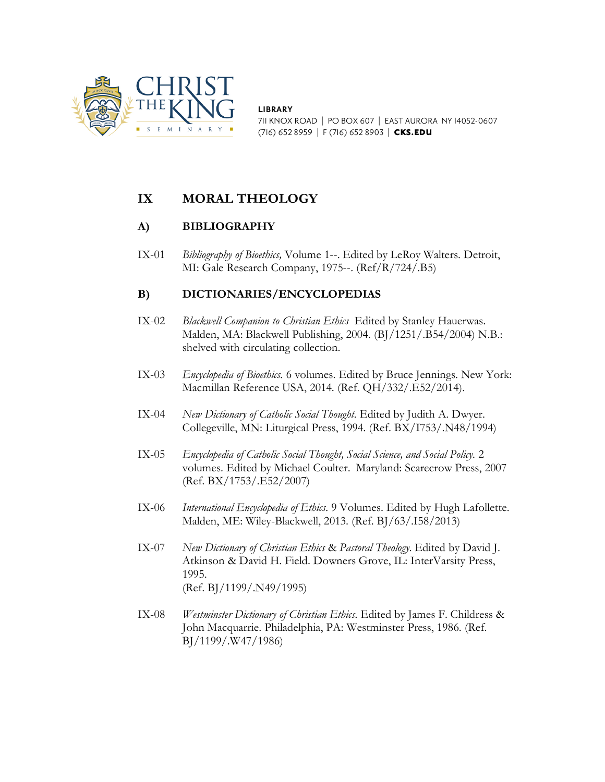

**LIBRARY** 711 KNOX ROAD | PO BOX 607 | EAST AURORA NY 14052-0607 (716) 652 8959 | F (716) 652 8903 | CKS.EDU

# **IX MORAL THEOLOGY**

## **A) BIBLIOGRAPHY**

IX-01 *Bibliography of Bioethics,* Volume 1--. Edited by LeRoy Walters. Detroit, MI: Gale Research Company, 1975--. (Ref/R/724/.B5)

## **B) DICTIONARIES/ENCYCLOPEDIAS**

- IX-02 *Blackwell Companion to Christian Ethics* Edited by Stanley Hauerwas. Malden, MA: Blackwell Publishing, 2004. (BJ/1251/.B54/2004) N.B.: shelved with circulating collection.
- IX-03 *Encyclopedia of Bioethics.* 6 volumes. Edited by Bruce Jennings. New York: Macmillan Reference USA, 2014. (Ref. QH/332/.E52/2014).
- IX-04 *New Dictionary of Catholic Social Thought.* Edited by Judith A. Dwyer. Collegeville, MN: Liturgical Press, 1994. (Ref. BX/I753/.N48/1994)
- IX-05 *Encyclopedia of Catholic Social Thought, Social Science, and Social Policy.* 2 volumes. Edited by Michael Coulter. Maryland: Scarecrow Press, 2007 (Ref. BX/1753/.E52/2007)
- IX-06 *International Encyclopedia of Ethics.* 9 Volumes. Edited by Hugh Lafollette. Malden, ME: Wiley-Blackwell, 2013. (Ref. BJ/63/.I58/2013)
- IX-07 *New Dictionary of Christian Ethics* & *Pastoral Theology.* Edited by David J. Atkinson & David H. Field. Downers Grove, IL: InterVarsity Press, 1995. (Ref. BJ/1199/.N49/1995)
- IX-08 *Westminster Dictionary of Christian Ethics.* Edited by James F. Childress & John Macquarrie. Philadelphia, PA: Westminster Press, 1986. (Ref. BJ/1199/.W47/1986)